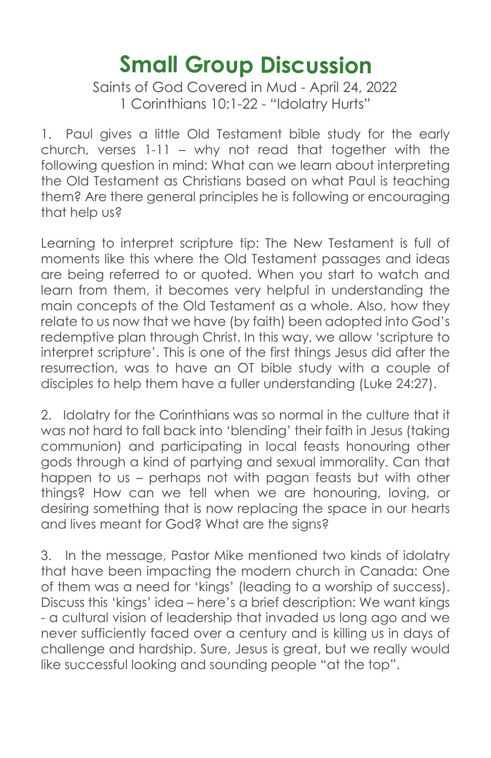## **Small Group Discussion**

Saints of God Covered in Mud - April 24, 2022 1 Corinthians 10:1-22 - "Idolatry Hurts"

1. Paul gives a little Old Testament bible study for the early church, verses 1-11 – why not read that together with the following question in mind: What can we learn about interpreting the Old Testament as Christians based on what Paul is teaching them? Are there general principles he is following or encouraging that help us?

Learning to interpret scripture tip: The New Testament is full of moments like this where the Old Testament passages and ideas are being referred to or quoted. When you start to watch and learn from them, it becomes very helpful in understanding the main concepts of the Old Testament as a whole. Also, how they relate to us now that we have (by faith) been adopted into God's redemptive plan through Christ. In this way, we allow 'scripture to interpret scripture'. This is one of the first things Jesus did after the resurrection, was to have an OT bible study with a couple of disciples to help them have a fuller understanding (Luke 24:27).

2. Idolatry for the Corinthians was so normal in the culture that it was not hard to fall back into 'blending' their faith in Jesus (taking communion) and participating in local feasts honouring other gods through a kind of partying and sexual immorality. Can that happen to us – perhaps not with pagan feasts but with other things? How can we tell when we are honouring, loving, or desiring something that is now replacing the space in our hearts and lives meant for God? What are the signs?

3. In the message, Pastor Mike mentioned two kinds of idolatry that have been impacting the modern church in Canada: One of them was a need for 'kings' (leading to a worship of success). Discuss this 'kings' idea – here's a brief description: We want kings - a cultural vision of leadership that invaded us long ago and we never sufficiently faced over a century and is killing us in days of challenge and hardship. Sure, Jesus is great, but we really would like successful looking and sounding people "at the top".